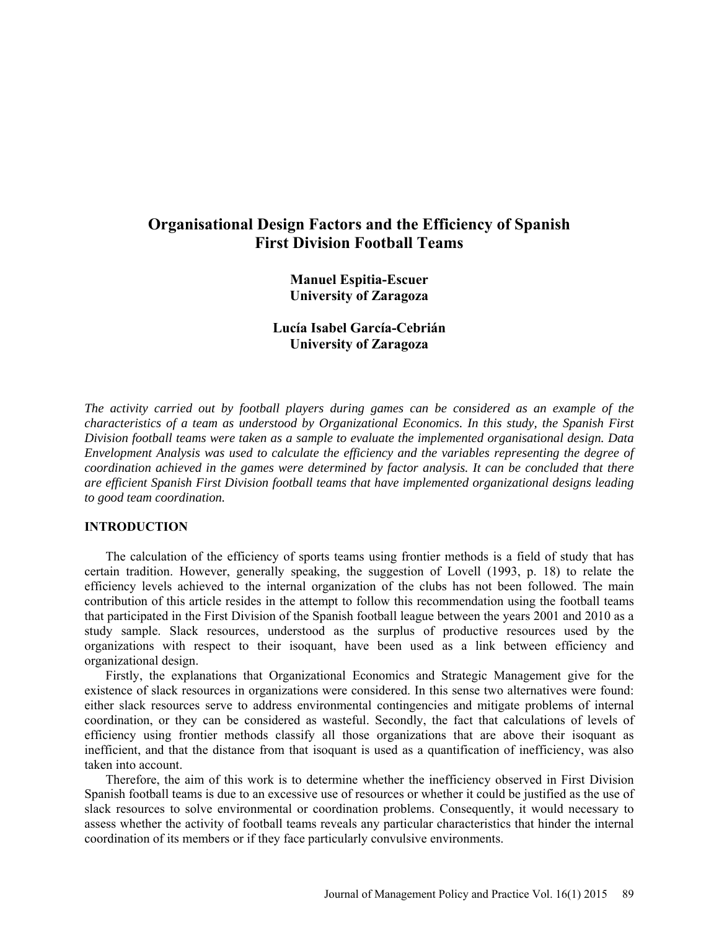# **Organisational Design Factors and the Efficiency of Spanish First Division Football Teams**

**Manuel Espitia-Escuer University of Zaragoza** 

# **Lucía Isabel García-Cebrián University of Zaragoza**

*The activity carried out by football players during games can be considered as an example of the characteristics of a team as understood by Organizational Economics. In this study, the Spanish First Division football teams were taken as a sample to evaluate the implemented organisational design. Data Envelopment Analysis was used to calculate the efficiency and the variables representing the degree of coordination achieved in the games were determined by factor analysis. It can be concluded that there are efficient Spanish First Division football teams that have implemented organizational designs leading to good team coordination.* 

### **INTRODUCTION**

The calculation of the efficiency of sports teams using frontier methods is a field of study that has certain tradition. However, generally speaking, the suggestion of Lovell (1993, p. 18) to relate the efficiency levels achieved to the internal organization of the clubs has not been followed. The main contribution of this article resides in the attempt to follow this recommendation using the football teams that participated in the First Division of the Spanish football league between the years 2001 and 2010 as a study sample. Slack resources, understood as the surplus of productive resources used by the organizations with respect to their isoquant, have been used as a link between efficiency and organizational design.

Firstly, the explanations that Organizational Economics and Strategic Management give for the existence of slack resources in organizations were considered. In this sense two alternatives were found: either slack resources serve to address environmental contingencies and mitigate problems of internal coordination, or they can be considered as wasteful. Secondly, the fact that calculations of levels of efficiency using frontier methods classify all those organizations that are above their isoquant as inefficient, and that the distance from that isoquant is used as a quantification of inefficiency, was also taken into account.

Therefore, the aim of this work is to determine whether the inefficiency observed in First Division Spanish football teams is due to an excessive use of resources or whether it could be justified as the use of slack resources to solve environmental or coordination problems. Consequently, it would necessary to assess whether the activity of football teams reveals any particular characteristics that hinder the internal coordination of its members or if they face particularly convulsive environments.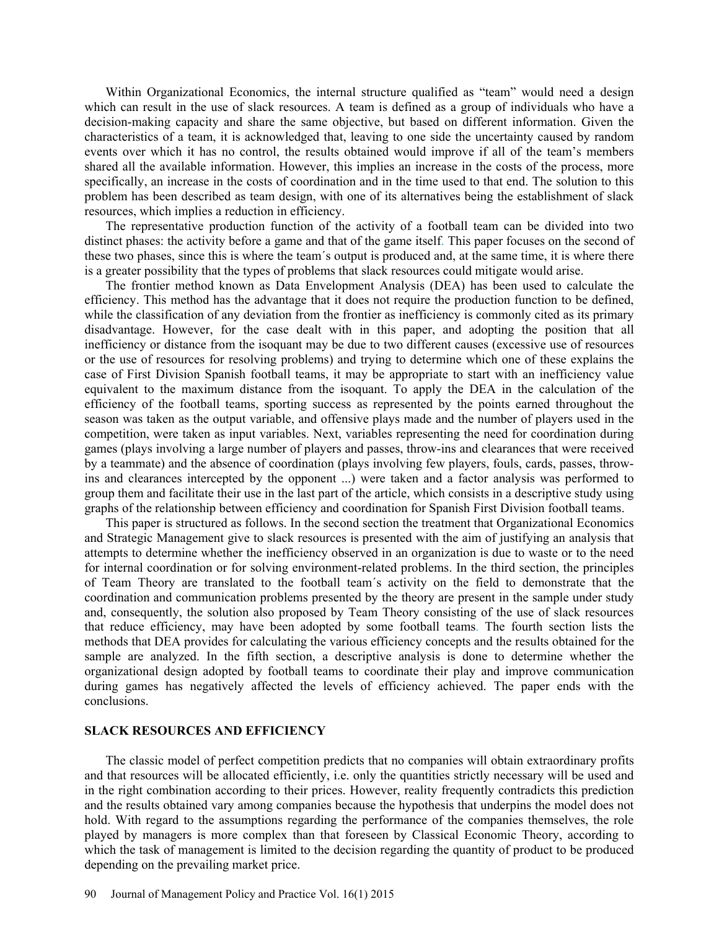Within Organizational Economics, the internal structure qualified as "team" would need a design which can result in the use of slack resources. A team is defined as a group of individuals who have a decision-making capacity and share the same objective, but based on different information. Given the characteristics of a team, it is acknowledged that, leaving to one side the uncertainty caused by random events over which it has no control, the results obtained would improve if all of the team's members shared all the available information. However, this implies an increase in the costs of the process, more specifically, an increase in the costs of coordination and in the time used to that end. The solution to this problem has been described as team design, with one of its alternatives being the establishment of slack resources, which implies a reduction in efficiency.

The representative production function of the activity of a football team can be divided into two distinct phases: the activity before a game and that of the game itself. This paper focuses on the second of these two phases, since this is where the team´s output is produced and, at the same time, it is where there is a greater possibility that the types of problems that slack resources could mitigate would arise.

The frontier method known as Data Envelopment Analysis (DEA) has been used to calculate the efficiency. This method has the advantage that it does not require the production function to be defined, while the classification of any deviation from the frontier as inefficiency is commonly cited as its primary disadvantage. However, for the case dealt with in this paper, and adopting the position that all inefficiency or distance from the isoquant may be due to two different causes (excessive use of resources or the use of resources for resolving problems) and trying to determine which one of these explains the case of First Division Spanish football teams, it may be appropriate to start with an inefficiency value equivalent to the maximum distance from the isoquant. To apply the DEA in the calculation of the efficiency of the football teams, sporting success as represented by the points earned throughout the season was taken as the output variable, and offensive plays made and the number of players used in the competition, were taken as input variables. Next, variables representing the need for coordination during games (plays involving a large number of players and passes, throw-ins and clearances that were received by a teammate) and the absence of coordination (plays involving few players, fouls, cards, passes, throwins and clearances intercepted by the opponent ...) were taken and a factor analysis was performed to group them and facilitate their use in the last part of the article, which consists in a descriptive study using graphs of the relationship between efficiency and coordination for Spanish First Division football teams.

This paper is structured as follows. In the second section the treatment that Organizational Economics and Strategic Management give to slack resources is presented with the aim of justifying an analysis that attempts to determine whether the inefficiency observed in an organization is due to waste or to the need for internal coordination or for solving environment-related problems. In the third section, the principles of Team Theory are translated to the football team´s activity on the field to demonstrate that the coordination and communication problems presented by the theory are present in the sample under study and, consequently, the solution also proposed by Team Theory consisting of the use of slack resources that reduce efficiency, may have been adopted by some football teams. The fourth section lists the methods that DEA provides for calculating the various efficiency concepts and the results obtained for the sample are analyzed. In the fifth section, a descriptive analysis is done to determine whether the organizational design adopted by football teams to coordinate their play and improve communication during games has negatively affected the levels of efficiency achieved. The paper ends with the conclusions.

### **SLACK RESOURCES AND EFFICIENCY**

The classic model of perfect competition predicts that no companies will obtain extraordinary profits and that resources will be allocated efficiently, i.e. only the quantities strictly necessary will be used and in the right combination according to their prices. However, reality frequently contradicts this prediction and the results obtained vary among companies because the hypothesis that underpins the model does not hold. With regard to the assumptions regarding the performance of the companies themselves, the role played by managers is more complex than that foreseen by Classical Economic Theory, according to which the task of management is limited to the decision regarding the quantity of product to be produced depending on the prevailing market price.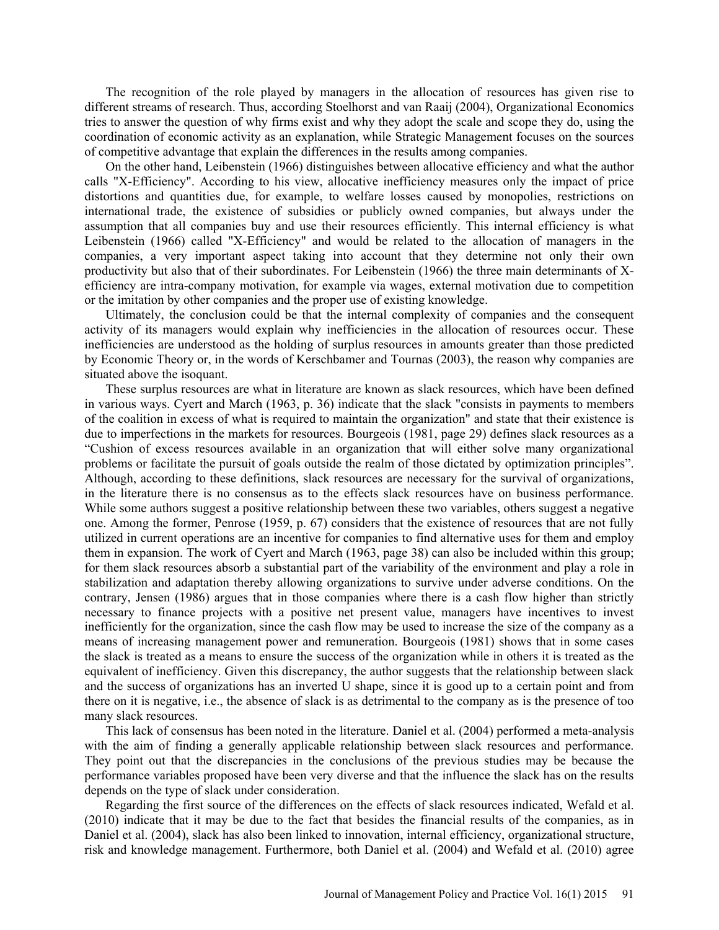The recognition of the role played by managers in the allocation of resources has given rise to different streams of research. Thus, according Stoelhorst and van Raaij (2004), Organizational Economics tries to answer the question of why firms exist and why they adopt the scale and scope they do, using the coordination of economic activity as an explanation, while Strategic Management focuses on the sources of competitive advantage that explain the differences in the results among companies.

On the other hand, Leibenstein (1966) distinguishes between allocative efficiency and what the author calls "X-Efficiency". According to his view, allocative inefficiency measures only the impact of price distortions and quantities due, for example, to welfare losses caused by monopolies, restrictions on international trade, the existence of subsidies or publicly owned companies, but always under the assumption that all companies buy and use their resources efficiently. This internal efficiency is what Leibenstein (1966) called "X-Efficiency" and would be related to the allocation of managers in the companies, a very important aspect taking into account that they determine not only their own productivity but also that of their subordinates. For Leibenstein (1966) the three main determinants of Xefficiency are intra-company motivation, for example via wages, external motivation due to competition or the imitation by other companies and the proper use of existing knowledge.

Ultimately, the conclusion could be that the internal complexity of companies and the consequent activity of its managers would explain why inefficiencies in the allocation of resources occur. These inefficiencies are understood as the holding of surplus resources in amounts greater than those predicted by Economic Theory or, in the words of Kerschbamer and Tournas (2003), the reason why companies are situated above the isoquant.

These surplus resources are what in literature are known as slack resources, which have been defined in various ways. Cyert and March (1963, p. 36) indicate that the slack "consists in payments to members of the coalition in excess of what is required to maintain the organization" and state that their existence is due to imperfections in the markets for resources. Bourgeois (1981, page 29) defines slack resources as a "Cushion of excess resources available in an organization that will either solve many organizational problems or facilitate the pursuit of goals outside the realm of those dictated by optimization principles". Although, according to these definitions, slack resources are necessary for the survival of organizations, in the literature there is no consensus as to the effects slack resources have on business performance. While some authors suggest a positive relationship between these two variables, others suggest a negative one. Among the former, Penrose (1959, p. 67) considers that the existence of resources that are not fully utilized in current operations are an incentive for companies to find alternative uses for them and employ them in expansion. The work of Cyert and March (1963, page 38) can also be included within this group; for them slack resources absorb a substantial part of the variability of the environment and play a role in stabilization and adaptation thereby allowing organizations to survive under adverse conditions. On the contrary, Jensen (1986) argues that in those companies where there is a cash flow higher than strictly necessary to finance projects with a positive net present value, managers have incentives to invest inefficiently for the organization, since the cash flow may be used to increase the size of the company as a means of increasing management power and remuneration. Bourgeois (1981) shows that in some cases the slack is treated as a means to ensure the success of the organization while in others it is treated as the equivalent of inefficiency. Given this discrepancy, the author suggests that the relationship between slack and the success of organizations has an inverted U shape, since it is good up to a certain point and from there on it is negative, i.e., the absence of slack is as detrimental to the company as is the presence of too many slack resources.

This lack of consensus has been noted in the literature. Daniel et al. (2004) performed a meta-analysis with the aim of finding a generally applicable relationship between slack resources and performance. They point out that the discrepancies in the conclusions of the previous studies may be because the performance variables proposed have been very diverse and that the influence the slack has on the results depends on the type of slack under consideration.

Regarding the first source of the differences on the effects of slack resources indicated, Wefald et al. (2010) indicate that it may be due to the fact that besides the financial results of the companies, as in Daniel et al. (2004), slack has also been linked to innovation, internal efficiency, organizational structure, risk and knowledge management. Furthermore, both Daniel et al. (2004) and Wefald et al. (2010) agree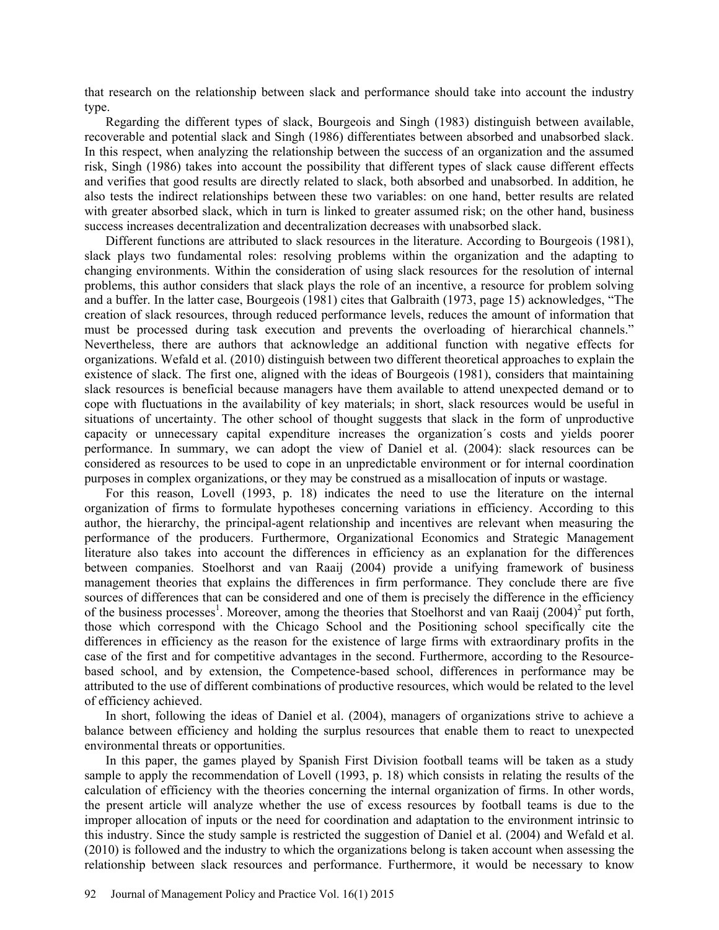that research on the relationship between slack and performance should take into account the industry type.

Regarding the different types of slack, Bourgeois and Singh (1983) distinguish between available, recoverable and potential slack and Singh (1986) differentiates between absorbed and unabsorbed slack. In this respect, when analyzing the relationship between the success of an organization and the assumed risk, Singh (1986) takes into account the possibility that different types of slack cause different effects and verifies that good results are directly related to slack, both absorbed and unabsorbed. In addition, he also tests the indirect relationships between these two variables: on one hand, better results are related with greater absorbed slack, which in turn is linked to greater assumed risk; on the other hand, business success increases decentralization and decentralization decreases with unabsorbed slack.

Different functions are attributed to slack resources in the literature. According to Bourgeois (1981), slack plays two fundamental roles: resolving problems within the organization and the adapting to changing environments. Within the consideration of using slack resources for the resolution of internal problems, this author considers that slack plays the role of an incentive, a resource for problem solving and a buffer. In the latter case, Bourgeois (1981) cites that Galbraith (1973, page 15) acknowledges, "The creation of slack resources, through reduced performance levels, reduces the amount of information that must be processed during task execution and prevents the overloading of hierarchical channels." Nevertheless, there are authors that acknowledge an additional function with negative effects for organizations. Wefald et al. (2010) distinguish between two different theoretical approaches to explain the existence of slack. The first one, aligned with the ideas of Bourgeois (1981), considers that maintaining slack resources is beneficial because managers have them available to attend unexpected demand or to cope with fluctuations in the availability of key materials; in short, slack resources would be useful in situations of uncertainty. The other school of thought suggests that slack in the form of unproductive capacity or unnecessary capital expenditure increases the organization´s costs and yields poorer performance. In summary, we can adopt the view of Daniel et al. (2004): slack resources can be considered as resources to be used to cope in an unpredictable environment or for internal coordination purposes in complex organizations, or they may be construed as a misallocation of inputs or wastage.

For this reason, Lovell (1993, p. 18) indicates the need to use the literature on the internal organization of firms to formulate hypotheses concerning variations in efficiency. According to this author, the hierarchy, the principal-agent relationship and incentives are relevant when measuring the performance of the producers. Furthermore, Organizational Economics and Strategic Management literature also takes into account the differences in efficiency as an explanation for the differences between companies. Stoelhorst and van Raaij (2004) provide a unifying framework of business management theories that explains the differences in firm performance. They conclude there are five sources of differences that can be considered and one of them is precisely the difference in the efficiency of the business processes<sup>1</sup>. Moreover, among the theories that Stoelhorst and van Raaij (2004)<sup>2</sup> put forth, those which correspond with the Chicago School and the Positioning school specifically cite the differences in efficiency as the reason for the existence of large firms with extraordinary profits in the case of the first and for competitive advantages in the second. Furthermore, according to the Resourcebased school, and by extension, the Competence-based school, differences in performance may be attributed to the use of different combinations of productive resources, which would be related to the level of efficiency achieved.

In short, following the ideas of Daniel et al. (2004), managers of organizations strive to achieve a balance between efficiency and holding the surplus resources that enable them to react to unexpected environmental threats or opportunities.

In this paper, the games played by Spanish First Division football teams will be taken as a study sample to apply the recommendation of Lovell (1993, p. 18) which consists in relating the results of the calculation of efficiency with the theories concerning the internal organization of firms. In other words, the present article will analyze whether the use of excess resources by football teams is due to the improper allocation of inputs or the need for coordination and adaptation to the environment intrinsic to this industry. Since the study sample is restricted the suggestion of Daniel et al. (2004) and Wefald et al. (2010) is followed and the industry to which the organizations belong is taken account when assessing the relationship between slack resources and performance. Furthermore, it would be necessary to know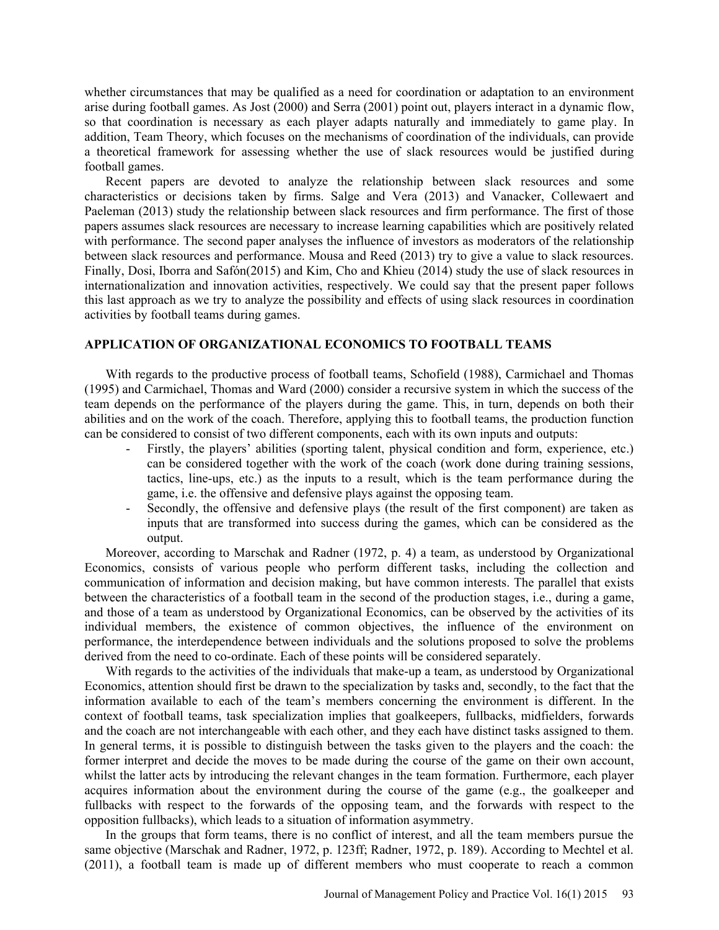whether circumstances that may be qualified as a need for coordination or adaptation to an environment arise during football games. As Jost (2000) and Serra (2001) point out, players interact in a dynamic flow, so that coordination is necessary as each player adapts naturally and immediately to game play. In addition, Team Theory, which focuses on the mechanisms of coordination of the individuals, can provide a theoretical framework for assessing whether the use of slack resources would be justified during football games.

Recent papers are devoted to analyze the relationship between slack resources and some characteristics or decisions taken by firms. Salge and Vera (2013) and Vanacker, Collewaert and Paeleman (2013) study the relationship between slack resources and firm performance. The first of those papers assumes slack resources are necessary to increase learning capabilities which are positively related with performance. The second paper analyses the influence of investors as moderators of the relationship between slack resources and performance. Mousa and Reed (2013) try to give a value to slack resources. Finally, Dosi, Iborra and Safón(2015) and Kim, Cho and Khieu (2014) study the use of slack resources in internationalization and innovation activities, respectively. We could say that the present paper follows this last approach as we try to analyze the possibility and effects of using slack resources in coordination activities by football teams during games.

## **APPLICATION OF ORGANIZATIONAL ECONOMICS TO FOOTBALL TEAMS**

With regards to the productive process of football teams, Schofield (1988), Carmichael and Thomas (1995) and Carmichael, Thomas and Ward (2000) consider a recursive system in which the success of the team depends on the performance of the players during the game. This, in turn, depends on both their abilities and on the work of the coach. Therefore, applying this to football teams, the production function can be considered to consist of two different components, each with its own inputs and outputs:

- Firstly, the players' abilities (sporting talent, physical condition and form, experience, etc.) can be considered together with the work of the coach (work done during training sessions, tactics, line-ups, etc.) as the inputs to a result, which is the team performance during the game, i.e. the offensive and defensive plays against the opposing team.
- Secondly, the offensive and defensive plays (the result of the first component) are taken as inputs that are transformed into success during the games, which can be considered as the output.

Moreover, according to Marschak and Radner (1972, p. 4) a team, as understood by Organizational Economics, consists of various people who perform different tasks, including the collection and communication of information and decision making, but have common interests. The parallel that exists between the characteristics of a football team in the second of the production stages, i.e., during a game, and those of a team as understood by Organizational Economics, can be observed by the activities of its individual members, the existence of common objectives, the influence of the environment on performance, the interdependence between individuals and the solutions proposed to solve the problems derived from the need to co-ordinate. Each of these points will be considered separately.

With regards to the activities of the individuals that make-up a team, as understood by Organizational Economics, attention should first be drawn to the specialization by tasks and, secondly, to the fact that the information available to each of the team's members concerning the environment is different. In the context of football teams, task specialization implies that goalkeepers, fullbacks, midfielders, forwards and the coach are not interchangeable with each other, and they each have distinct tasks assigned to them. In general terms, it is possible to distinguish between the tasks given to the players and the coach: the former interpret and decide the moves to be made during the course of the game on their own account, whilst the latter acts by introducing the relevant changes in the team formation. Furthermore, each player acquires information about the environment during the course of the game (e.g., the goalkeeper and fullbacks with respect to the forwards of the opposing team, and the forwards with respect to the opposition fullbacks), which leads to a situation of information asymmetry.

In the groups that form teams, there is no conflict of interest, and all the team members pursue the same objective (Marschak and Radner, 1972, p. 123ff; Radner, 1972, p. 189). According to Mechtel et al. (2011), a football team is made up of different members who must cooperate to reach a common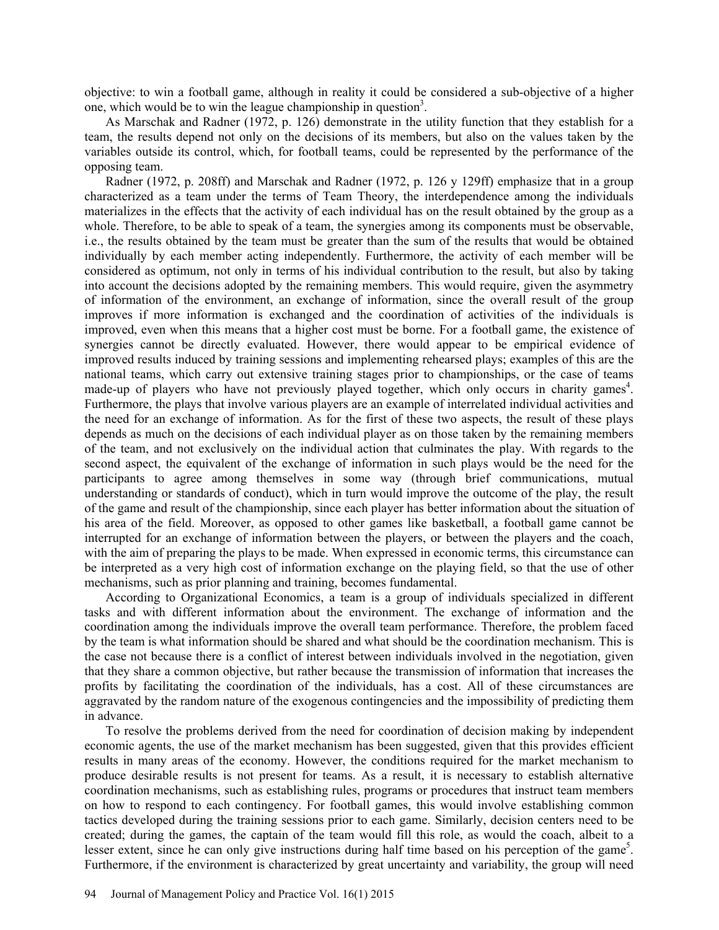objective: to win a football game, although in reality it could be considered a sub-objective of a higher one, which would be to win the league championship in question<sup>3</sup>.

As Marschak and Radner (1972, p. 126) demonstrate in the utility function that they establish for a team, the results depend not only on the decisions of its members, but also on the values taken by the variables outside its control, which, for football teams, could be represented by the performance of the opposing team.

Radner (1972, p. 208ff) and Marschak and Radner (1972, p. 126 y 129ff) emphasize that in a group characterized as a team under the terms of Team Theory, the interdependence among the individuals materializes in the effects that the activity of each individual has on the result obtained by the group as a whole. Therefore, to be able to speak of a team, the synergies among its components must be observable, i.e., the results obtained by the team must be greater than the sum of the results that would be obtained individually by each member acting independently. Furthermore, the activity of each member will be considered as optimum, not only in terms of his individual contribution to the result, but also by taking into account the decisions adopted by the remaining members. This would require, given the asymmetry of information of the environment, an exchange of information, since the overall result of the group improves if more information is exchanged and the coordination of activities of the individuals is improved, even when this means that a higher cost must be borne. For a football game, the existence of synergies cannot be directly evaluated. However, there would appear to be empirical evidence of improved results induced by training sessions and implementing rehearsed plays; examples of this are the national teams, which carry out extensive training stages prior to championships, or the case of teams made-up of players who have not previously played together, which only occurs in charity games<sup>4</sup>. Furthermore, the plays that involve various players are an example of interrelated individual activities and the need for an exchange of information. As for the first of these two aspects, the result of these plays depends as much on the decisions of each individual player as on those taken by the remaining members of the team, and not exclusively on the individual action that culminates the play. With regards to the second aspect, the equivalent of the exchange of information in such plays would be the need for the participants to agree among themselves in some way (through brief communications, mutual understanding or standards of conduct), which in turn would improve the outcome of the play, the result of the game and result of the championship, since each player has better information about the situation of his area of the field. Moreover, as opposed to other games like basketball, a football game cannot be interrupted for an exchange of information between the players, or between the players and the coach, with the aim of preparing the plays to be made. When expressed in economic terms, this circumstance can be interpreted as a very high cost of information exchange on the playing field, so that the use of other mechanisms, such as prior planning and training, becomes fundamental.

According to Organizational Economics, a team is a group of individuals specialized in different tasks and with different information about the environment. The exchange of information and the coordination among the individuals improve the overall team performance. Therefore, the problem faced by the team is what information should be shared and what should be the coordination mechanism. This is the case not because there is a conflict of interest between individuals involved in the negotiation, given that they share a common objective, but rather because the transmission of information that increases the profits by facilitating the coordination of the individuals, has a cost. All of these circumstances are aggravated by the random nature of the exogenous contingencies and the impossibility of predicting them in advance.

To resolve the problems derived from the need for coordination of decision making by independent economic agents, the use of the market mechanism has been suggested, given that this provides efficient results in many areas of the economy. However, the conditions required for the market mechanism to produce desirable results is not present for teams. As a result, it is necessary to establish alternative coordination mechanisms, such as establishing rules, programs or procedures that instruct team members on how to respond to each contingency. For football games, this would involve establishing common tactics developed during the training sessions prior to each game. Similarly, decision centers need to be created; during the games, the captain of the team would fill this role, as would the coach, albeit to a lesser extent, since he can only give instructions during half time based on his perception of the game<sup>5</sup>. Furthermore, if the environment is characterized by great uncertainty and variability, the group will need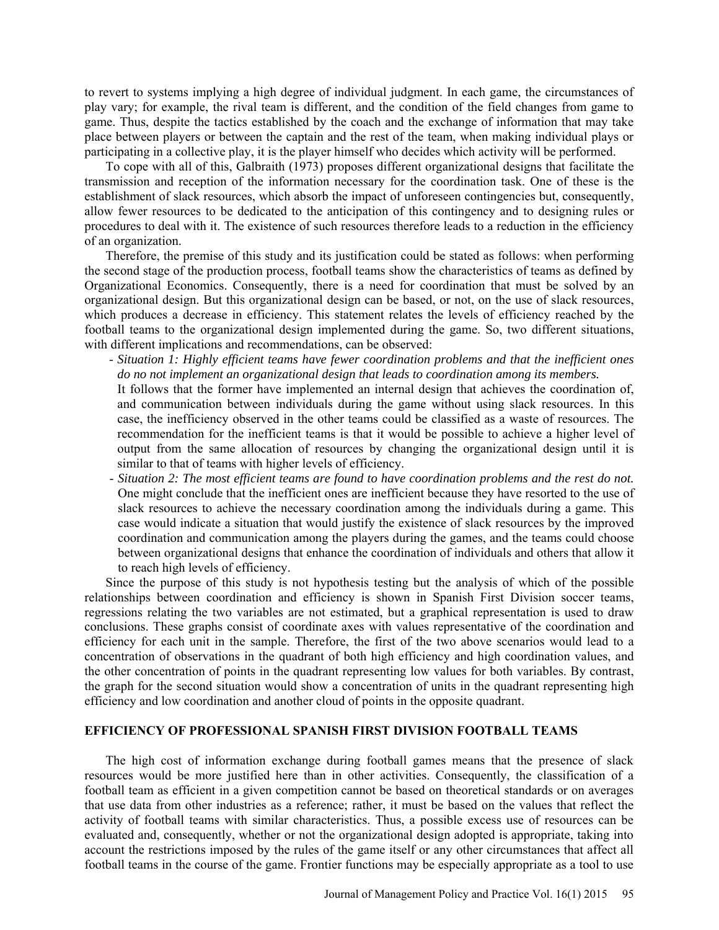to revert to systems implying a high degree of individual judgment. In each game, the circumstances of play vary; for example, the rival team is different, and the condition of the field changes from game to game. Thus, despite the tactics established by the coach and the exchange of information that may take place between players or between the captain and the rest of the team, when making individual plays or participating in a collective play, it is the player himself who decides which activity will be performed.

To cope with all of this, Galbraith (1973) proposes different organizational designs that facilitate the transmission and reception of the information necessary for the coordination task. One of these is the establishment of slack resources, which absorb the impact of unforeseen contingencies but, consequently, allow fewer resources to be dedicated to the anticipation of this contingency and to designing rules or procedures to deal with it. The existence of such resources therefore leads to a reduction in the efficiency of an organization.

Therefore, the premise of this study and its justification could be stated as follows: when performing the second stage of the production process, football teams show the characteristics of teams as defined by Organizational Economics. Consequently, there is a need for coordination that must be solved by an organizational design. But this organizational design can be based, or not, on the use of slack resources, which produces a decrease in efficiency. This statement relates the levels of efficiency reached by the football teams to the organizational design implemented during the game. So, two different situations, with different implications and recommendations, can be observed:

- *Situation 1: Highly efficient teams have fewer coordination problems and that the inefficient ones do no not implement an organizational design that leads to coordination among its members.* 

It follows that the former have implemented an internal design that achieves the coordination of, and communication between individuals during the game without using slack resources. In this case, the inefficiency observed in the other teams could be classified as a waste of resources. The recommendation for the inefficient teams is that it would be possible to achieve a higher level of output from the same allocation of resources by changing the organizational design until it is similar to that of teams with higher levels of efficiency.

- *Situation 2: The most efficient teams are found to have coordination problems and the rest do not.* One might conclude that the inefficient ones are inefficient because they have resorted to the use of slack resources to achieve the necessary coordination among the individuals during a game. This case would indicate a situation that would justify the existence of slack resources by the improved coordination and communication among the players during the games, and the teams could choose between organizational designs that enhance the coordination of individuals and others that allow it to reach high levels of efficiency.

Since the purpose of this study is not hypothesis testing but the analysis of which of the possible relationships between coordination and efficiency is shown in Spanish First Division soccer teams, regressions relating the two variables are not estimated, but a graphical representation is used to draw conclusions. These graphs consist of coordinate axes with values representative of the coordination and efficiency for each unit in the sample. Therefore, the first of the two above scenarios would lead to a concentration of observations in the quadrant of both high efficiency and high coordination values, and the other concentration of points in the quadrant representing low values for both variables. By contrast, the graph for the second situation would show a concentration of units in the quadrant representing high efficiency and low coordination and another cloud of points in the opposite quadrant.

### **EFFICIENCY OF PROFESSIONAL SPANISH FIRST DIVISION FOOTBALL TEAMS**

The high cost of information exchange during football games means that the presence of slack resources would be more justified here than in other activities. Consequently, the classification of a football team as efficient in a given competition cannot be based on theoretical standards or on averages that use data from other industries as a reference; rather, it must be based on the values that reflect the activity of football teams with similar characteristics. Thus, a possible excess use of resources can be evaluated and, consequently, whether or not the organizational design adopted is appropriate, taking into account the restrictions imposed by the rules of the game itself or any other circumstances that affect all football teams in the course of the game. Frontier functions may be especially appropriate as a tool to use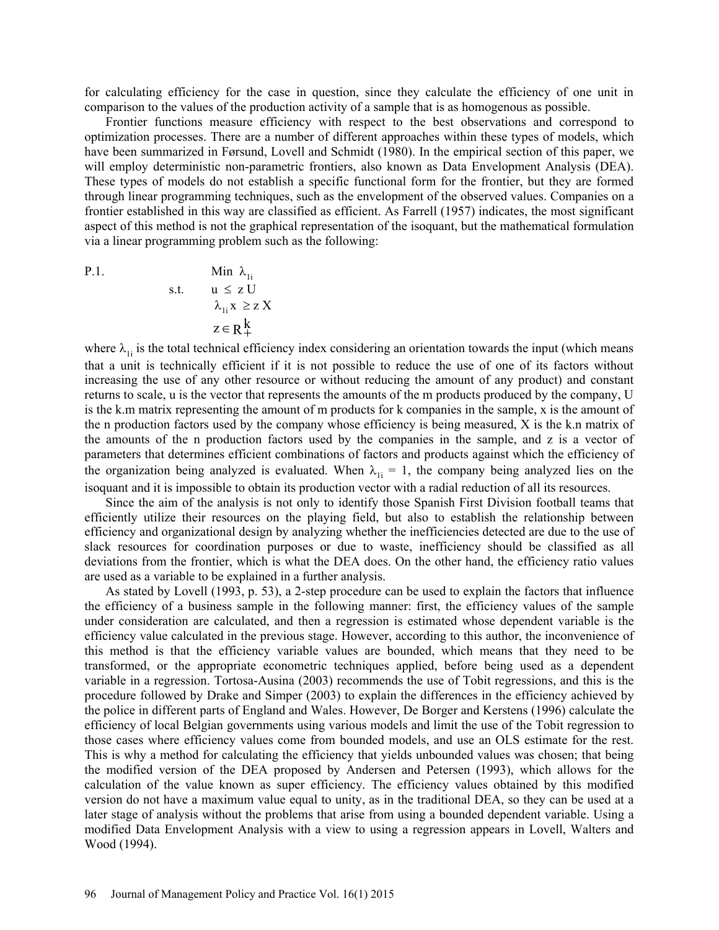for calculating efficiency for the case in question, since they calculate the efficiency of one unit in comparison to the values of the production activity of a sample that is as homogenous as possible.

Frontier functions measure efficiency with respect to the best observations and correspond to optimization processes. There are a number of different approaches within these types of models, which have been summarized in Førsund, Lovell and Schmidt (1980). In the empirical section of this paper, we will employ deterministic non-parametric frontiers, also known as Data Envelopment Analysis (DEA). These types of models do not establish a specific functional form for the frontier, but they are formed through linear programming techniques, such as the envelopment of the observed values. Companies on a frontier established in this way are classified as efficient. As Farrell (1957) indicates, the most significant aspect of this method is not the graphical representation of the isoquant, but the mathematical formulation via a linear programming problem such as the following:

P.1. 
$$
\begin{aligned}\n\text{Min } \lambda_{1i} \\
\text{s.t.} \quad &u \leq z \text{ U} \\
&\lambda_{1i} x \geq z \text{ X} \\
&z \in R_{+}^{k}\n\end{aligned}
$$

where  $\lambda_{1i}$  is the total technical efficiency index considering an orientation towards the input (which means that a unit is technically efficient if it is not possible to reduce the use of one of its factors without increasing the use of any other resource or without reducing the amount of any product) and constant returns to scale, u is the vector that represents the amounts of the m products produced by the company, U is the k.m matrix representing the amount of m products for k companies in the sample, x is the amount of the n production factors used by the company whose efficiency is being measured, X is the k.n matrix of the amounts of the n production factors used by the companies in the sample, and z is a vector of parameters that determines efficient combinations of factors and products against which the efficiency of the organization being analyzed is evaluated. When  $\lambda_{1i} = 1$ , the company being analyzed lies on the isoquant and it is impossible to obtain its production vector with a radial reduction of all its resources.

Since the aim of the analysis is not only to identify those Spanish First Division football teams that efficiently utilize their resources on the playing field, but also to establish the relationship between efficiency and organizational design by analyzing whether the inefficiencies detected are due to the use of slack resources for coordination purposes or due to waste, inefficiency should be classified as all deviations from the frontier, which is what the DEA does. On the other hand, the efficiency ratio values are used as a variable to be explained in a further analysis.

As stated by Lovell (1993, p. 53), a 2-step procedure can be used to explain the factors that influence the efficiency of a business sample in the following manner: first, the efficiency values of the sample under consideration are calculated, and then a regression is estimated whose dependent variable is the efficiency value calculated in the previous stage. However, according to this author, the inconvenience of this method is that the efficiency variable values are bounded, which means that they need to be transformed, or the appropriate econometric techniques applied, before being used as a dependent variable in a regression. Tortosa-Ausina (2003) recommends the use of Tobit regressions, and this is the procedure followed by Drake and Simper (2003) to explain the differences in the efficiency achieved by the police in different parts of England and Wales. However, De Borger and Kerstens (1996) calculate the efficiency of local Belgian governments using various models and limit the use of the Tobit regression to those cases where efficiency values come from bounded models, and use an OLS estimate for the rest. This is why a method for calculating the efficiency that yields unbounded values was chosen; that being the modified version of the DEA proposed by Andersen and Petersen (1993), which allows for the calculation of the value known as super efficiency. The efficiency values obtained by this modified version do not have a maximum value equal to unity, as in the traditional DEA, so they can be used at a later stage of analysis without the problems that arise from using a bounded dependent variable. Using a modified Data Envelopment Analysis with a view to using a regression appears in Lovell, Walters and Wood (1994).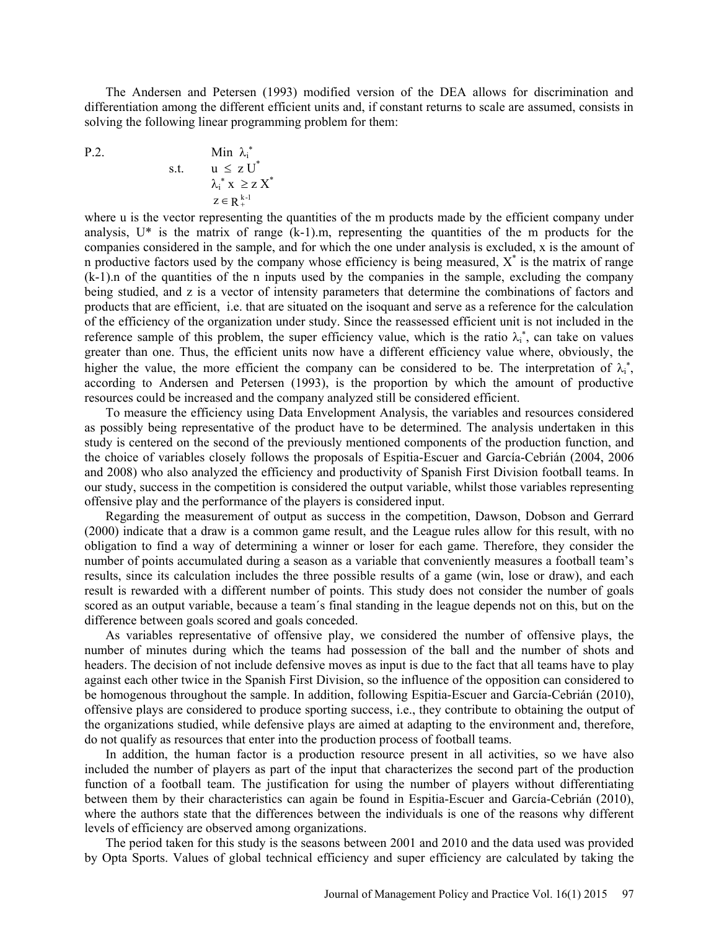The Andersen and Petersen (1993) modified version of the DEA allows for discrimination and differentiation among the different efficient units and, if constant returns to scale are assumed, consists in solving the following linear programming problem for them:

$$
P.2
$$

P.2. Min 
$$
\lambda_i^*
$$
  
s.t.  $u \le z U^*$   
 $\lambda_i^* x \ge z X^*$   
 $z \in R_{+}^{k-1}$ 

where u is the vector representing the quantities of the m products made by the efficient company under analysis, U\* is the matrix of range (k-1).m, representing the quantities of the m products for the companies considered in the sample, and for which the one under analysis is excluded, x is the amount of n productive factors used by the company whose efficiency is being measured,  $X^*$  is the matrix of range (k-1).n of the quantities of the n inputs used by the companies in the sample, excluding the company being studied, and z is a vector of intensity parameters that determine the combinations of factors and products that are efficient, i.e. that are situated on the isoquant and serve as a reference for the calculation of the efficiency of the organization under study. Since the reassessed efficient unit is not included in the reference sample of this problem, the super efficiency value, which is the ratio  $\lambda_i^*$ , can take on values greater than one. Thus, the efficient units now have a different efficiency value where, obviously, the higher the value, the more efficient the company can be considered to be. The interpretation of  $\lambda_i^*$ , according to Andersen and Petersen (1993), is the proportion by which the amount of productive resources could be increased and the company analyzed still be considered efficient.

To measure the efficiency using Data Envelopment Analysis, the variables and resources considered as possibly being representative of the product have to be determined. The analysis undertaken in this study is centered on the second of the previously mentioned components of the production function, and the choice of variables closely follows the proposals of Espitia-Escuer and García-Cebrián (2004, 2006 and 2008) who also analyzed the efficiency and productivity of Spanish First Division football teams. In our study, success in the competition is considered the output variable, whilst those variables representing offensive play and the performance of the players is considered input.

Regarding the measurement of output as success in the competition, Dawson, Dobson and Gerrard (2000) indicate that a draw is a common game result, and the League rules allow for this result, with no obligation to find a way of determining a winner or loser for each game. Therefore, they consider the number of points accumulated during a season as a variable that conveniently measures a football team's results, since its calculation includes the three possible results of a game (win, lose or draw), and each result is rewarded with a different number of points. This study does not consider the number of goals scored as an output variable, because a team´s final standing in the league depends not on this, but on the difference between goals scored and goals conceded.

As variables representative of offensive play, we considered the number of offensive plays, the number of minutes during which the teams had possession of the ball and the number of shots and headers. The decision of not include defensive moves as input is due to the fact that all teams have to play against each other twice in the Spanish First Division, so the influence of the opposition can considered to be homogenous throughout the sample. In addition, following Espitia-Escuer and García-Cebrián (2010), offensive plays are considered to produce sporting success, i.e., they contribute to obtaining the output of the organizations studied, while defensive plays are aimed at adapting to the environment and, therefore, do not qualify as resources that enter into the production process of football teams.

In addition, the human factor is a production resource present in all activities, so we have also included the number of players as part of the input that characterizes the second part of the production function of a football team. The justification for using the number of players without differentiating between them by their characteristics can again be found in Espitia-Escuer and García-Cebrián (2010), where the authors state that the differences between the individuals is one of the reasons why different levels of efficiency are observed among organizations.

The period taken for this study is the seasons between 2001 and 2010 and the data used was provided by Opta Sports. Values of global technical efficiency and super efficiency are calculated by taking the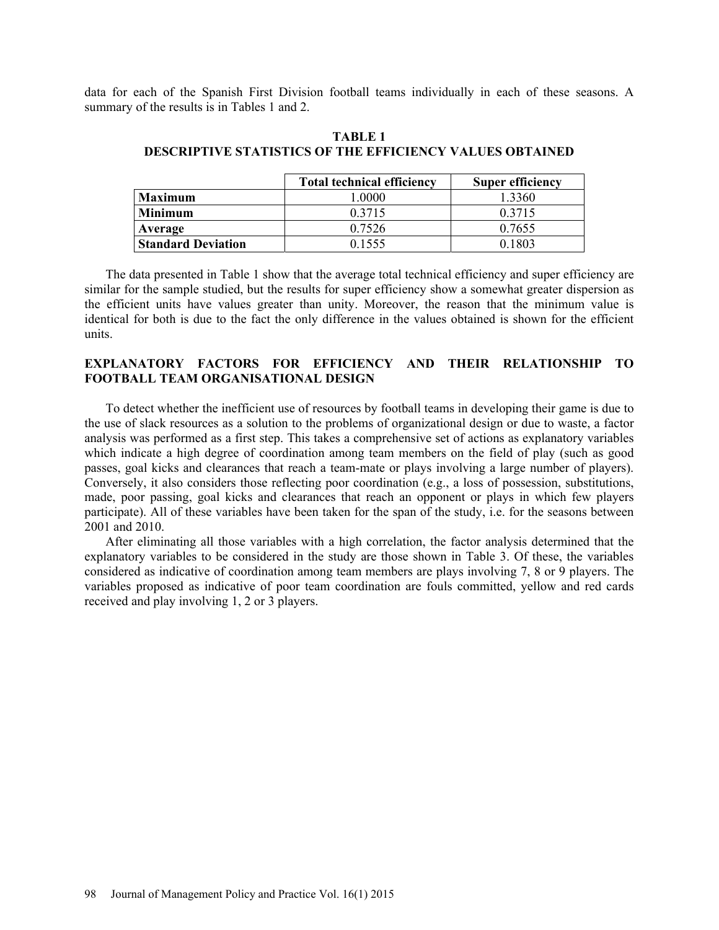data for each of the Spanish First Division football teams individually in each of these seasons. A summary of the results is in Tables 1 and 2.

|                           | <b>Total technical efficiency</b> | <b>Super efficiency</b> |
|---------------------------|-----------------------------------|-------------------------|
| <b>Maximum</b>            | .0000                             | 1 3360                  |
| <b>Minimum</b>            | 0 3 7 1 5                         | 0.3715                  |
| Average                   | 0.7526                            | 0.7655                  |
| <b>Standard Deviation</b> | 0.1555                            | 0.1803                  |

# **TABLE 1 DESCRIPTIVE STATISTICS OF THE EFFICIENCY VALUES OBTAINED**

The data presented in Table 1 show that the average total technical efficiency and super efficiency are similar for the sample studied, but the results for super efficiency show a somewhat greater dispersion as the efficient units have values greater than unity. Moreover, the reason that the minimum value is identical for both is due to the fact the only difference in the values obtained is shown for the efficient units.

# **EXPLANATORY FACTORS FOR EFFICIENCY AND THEIR RELATIONSHIP TO FOOTBALL TEAM ORGANISATIONAL DESIGN**

To detect whether the inefficient use of resources by football teams in developing their game is due to the use of slack resources as a solution to the problems of organizational design or due to waste, a factor analysis was performed as a first step. This takes a comprehensive set of actions as explanatory variables which indicate a high degree of coordination among team members on the field of play (such as good passes, goal kicks and clearances that reach a team-mate or plays involving a large number of players). Conversely, it also considers those reflecting poor coordination (e.g., a loss of possession, substitutions, made, poor passing, goal kicks and clearances that reach an opponent or plays in which few players participate). All of these variables have been taken for the span of the study, i.e. for the seasons between 2001 and 2010.

After eliminating all those variables with a high correlation, the factor analysis determined that the explanatory variables to be considered in the study are those shown in Table 3. Of these, the variables considered as indicative of coordination among team members are plays involving 7, 8 or 9 players. The variables proposed as indicative of poor team coordination are fouls committed, yellow and red cards received and play involving 1, 2 or 3 players.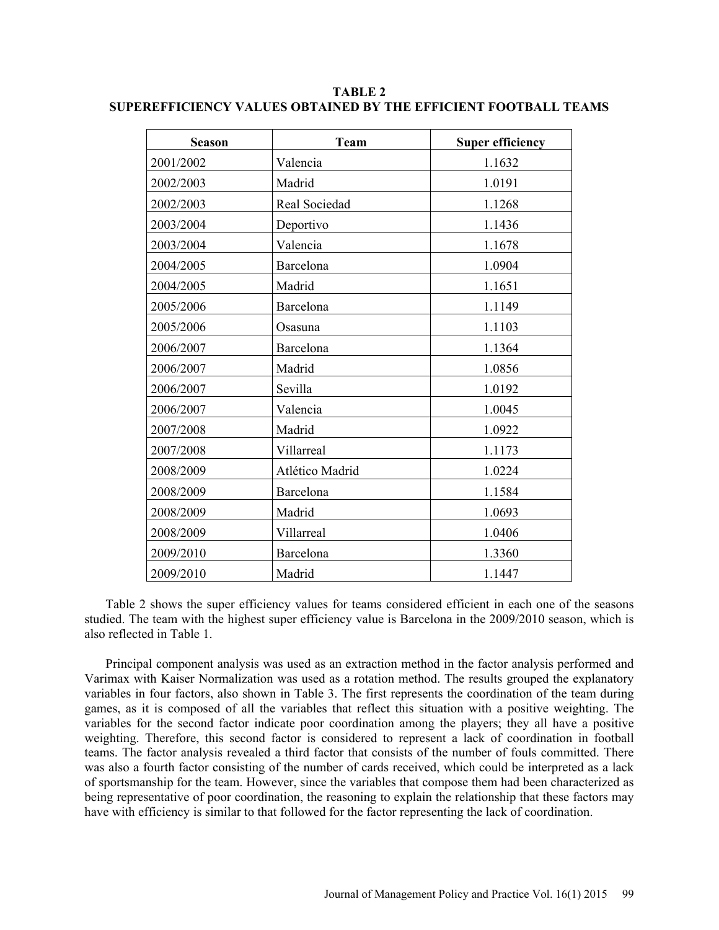| <b>Season</b> | <b>Team</b>     | <b>Super efficiency</b> |  |
|---------------|-----------------|-------------------------|--|
| 2001/2002     | Valencia        | 1.1632                  |  |
| 2002/2003     | Madrid          | 1.0191                  |  |
| 2002/2003     | Real Sociedad   | 1.1268                  |  |
| 2003/2004     | Deportivo       | 1.1436                  |  |
| 2003/2004     | Valencia        | 1.1678                  |  |
| 2004/2005     | Barcelona       | 1.0904                  |  |
| 2004/2005     | Madrid          | 1.1651                  |  |
| 2005/2006     | Barcelona       | 1.1149                  |  |
| 2005/2006     | Osasuna         | 1.1103                  |  |
| 2006/2007     | Barcelona       | 1.1364                  |  |
| 2006/2007     | Madrid          | 1.0856                  |  |
| 2006/2007     | Sevilla         | 1.0192                  |  |
| 2006/2007     | Valencia        | 1.0045                  |  |
| 2007/2008     | Madrid          | 1.0922                  |  |
| 2007/2008     | Villarreal      | 1.1173                  |  |
| 2008/2009     | Atlético Madrid | 1.0224                  |  |
| 2008/2009     | Barcelona       | 1.1584                  |  |
| 2008/2009     | Madrid          | 1.0693                  |  |
| 2008/2009     | Villarreal      | 1.0406                  |  |
| 2009/2010     | Barcelona       | 1.3360                  |  |
| 2009/2010     | Madrid          | 1.1447                  |  |

**TABLE 2 SUPEREFFICIENCY VALUES OBTAINED BY THE EFFICIENT FOOTBALL TEAMS** 

Table 2 shows the super efficiency values for teams considered efficient in each one of the seasons studied. The team with the highest super efficiency value is Barcelona in the 2009/2010 season, which is also reflected in Table 1.

Principal component analysis was used as an extraction method in the factor analysis performed and Varimax with Kaiser Normalization was used as a rotation method. The results grouped the explanatory variables in four factors, also shown in Table 3. The first represents the coordination of the team during games, as it is composed of all the variables that reflect this situation with a positive weighting. The variables for the second factor indicate poor coordination among the players; they all have a positive weighting. Therefore, this second factor is considered to represent a lack of coordination in football teams. The factor analysis revealed a third factor that consists of the number of fouls committed. There was also a fourth factor consisting of the number of cards received, which could be interpreted as a lack of sportsmanship for the team. However, since the variables that compose them had been characterized as being representative of poor coordination, the reasoning to explain the relationship that these factors may have with efficiency is similar to that followed for the factor representing the lack of coordination.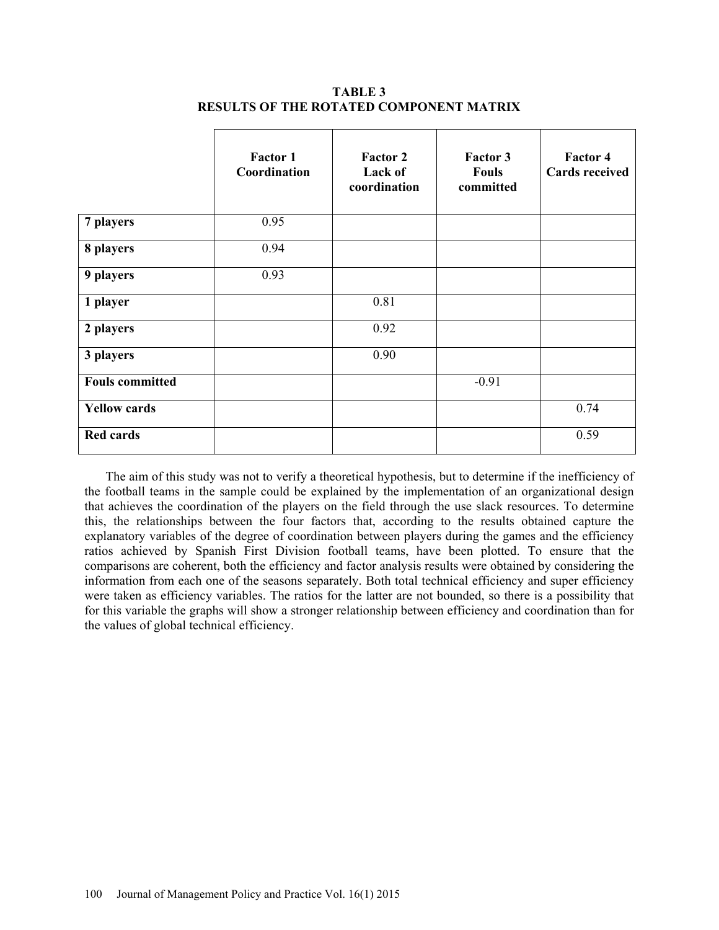|                        | <b>Factor 1</b><br>Coordination | <b>Factor 2</b><br>Lack of<br>coordination | <b>Factor 3</b><br><b>Fouls</b><br>committed | <b>Factor 4</b><br><b>Cards received</b> |
|------------------------|---------------------------------|--------------------------------------------|----------------------------------------------|------------------------------------------|
| 7 players              | 0.95                            |                                            |                                              |                                          |
| 8 players              | 0.94                            |                                            |                                              |                                          |
| 9 players              | 0.93                            |                                            |                                              |                                          |
| 1 player               |                                 | 0.81                                       |                                              |                                          |
| 2 players              |                                 | 0.92                                       |                                              |                                          |
| 3 players              |                                 | 0.90                                       |                                              |                                          |
| <b>Fouls committed</b> |                                 |                                            | $-0.91$                                      |                                          |
| <b>Yellow cards</b>    |                                 |                                            |                                              | 0.74                                     |
| <b>Red cards</b>       |                                 |                                            |                                              | 0.59                                     |

**TABLE 3 RESULTS OF THE ROTATED COMPONENT MATRIX** 

The aim of this study was not to verify a theoretical hypothesis, but to determine if the inefficiency of the football teams in the sample could be explained by the implementation of an organizational design that achieves the coordination of the players on the field through the use slack resources. To determine this, the relationships between the four factors that, according to the results obtained capture the explanatory variables of the degree of coordination between players during the games and the efficiency ratios achieved by Spanish First Division football teams, have been plotted. To ensure that the comparisons are coherent, both the efficiency and factor analysis results were obtained by considering the information from each one of the seasons separately. Both total technical efficiency and super efficiency were taken as efficiency variables. The ratios for the latter are not bounded, so there is a possibility that for this variable the graphs will show a stronger relationship between efficiency and coordination than for the values of global technical efficiency.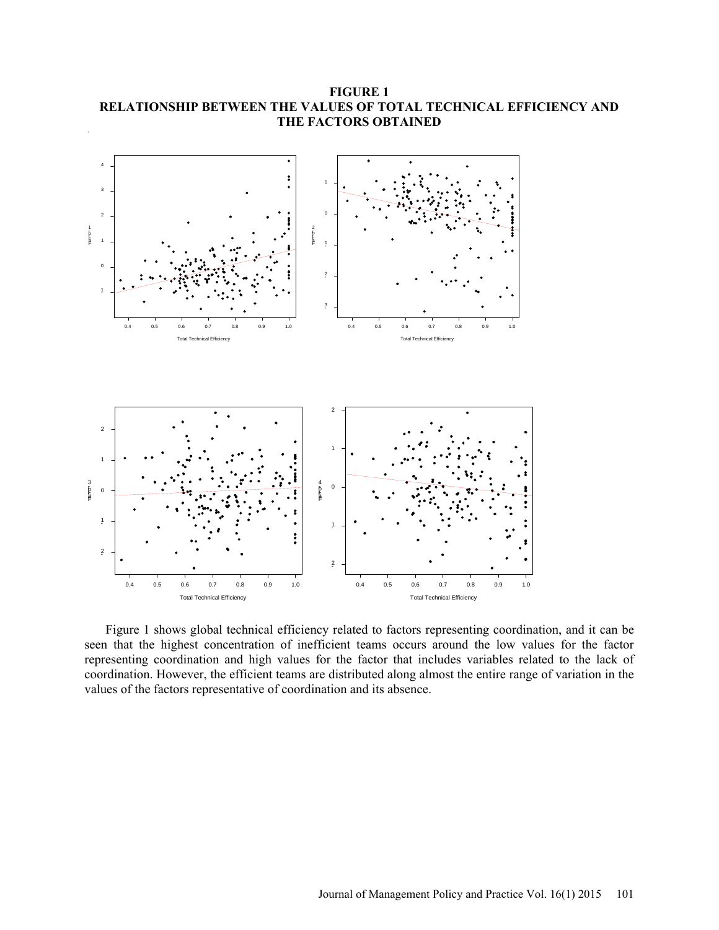

**FIGURE 1 RELATIONSHIP BETWEEN THE VALUES OF TOTAL TECHNICAL EFFICIENCY AND THE FACTORS OBTAINED** 

Figure 1 shows global technical efficiency related to factors representing coordination, and it can be seen that the highest concentration of inefficient teams occurs around the low values for the factor representing coordination and high values for the factor that includes variables related to the lack of coordination. However, the efficient teams are distributed along almost the entire range of variation in the values of the factors representative of coordination and its absence.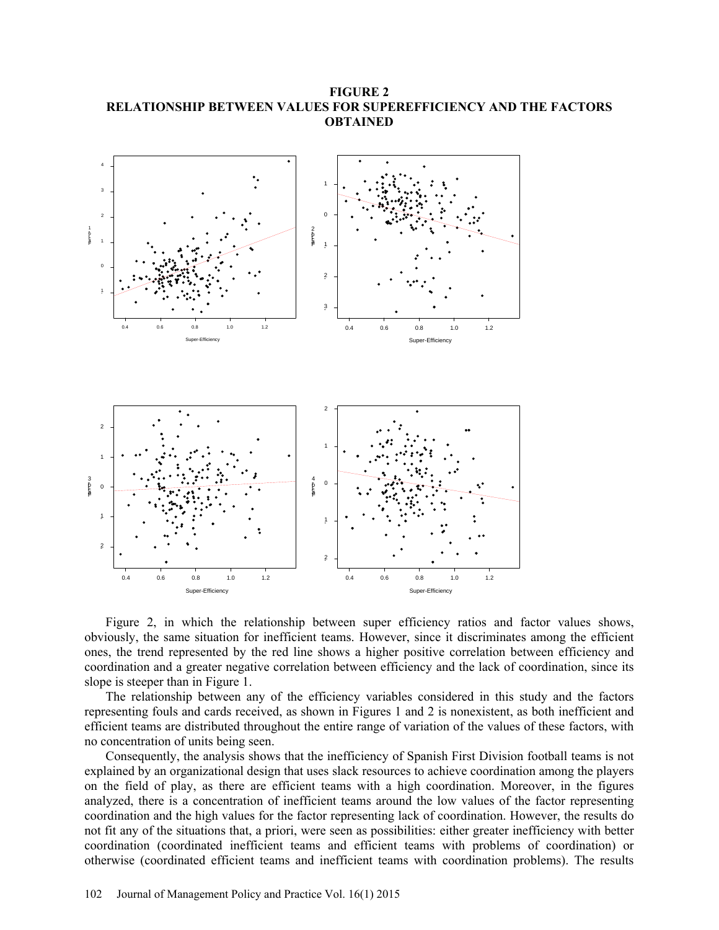**FIGURE 2 RELATIONSHIP BETWEEN VALUES FOR SUPEREFFICIENCY AND THE FACTORS OBTAINED** 



Figure 2, in which the relationship between super efficiency ratios and factor values shows, obviously, the same situation for inefficient teams. However, since it discriminates among the efficient ones, the trend represented by the red line shows a higher positive correlation between efficiency and coordination and a greater negative correlation between efficiency and the lack of coordination, since its slope is steeper than in Figure 1.

The relationship between any of the efficiency variables considered in this study and the factors representing fouls and cards received, as shown in Figures 1 and 2 is nonexistent, as both inefficient and efficient teams are distributed throughout the entire range of variation of the values of these factors, with no concentration of units being seen.

Consequently, the analysis shows that the inefficiency of Spanish First Division football teams is not explained by an organizational design that uses slack resources to achieve coordination among the players on the field of play, as there are efficient teams with a high coordination. Moreover, in the figures analyzed, there is a concentration of inefficient teams around the low values of the factor representing coordination and the high values for the factor representing lack of coordination. However, the results do not fit any of the situations that, a priori, were seen as possibilities: either greater inefficiency with better coordination (coordinated inefficient teams and efficient teams with problems of coordination) or otherwise (coordinated efficient teams and inefficient teams with coordination problems). The results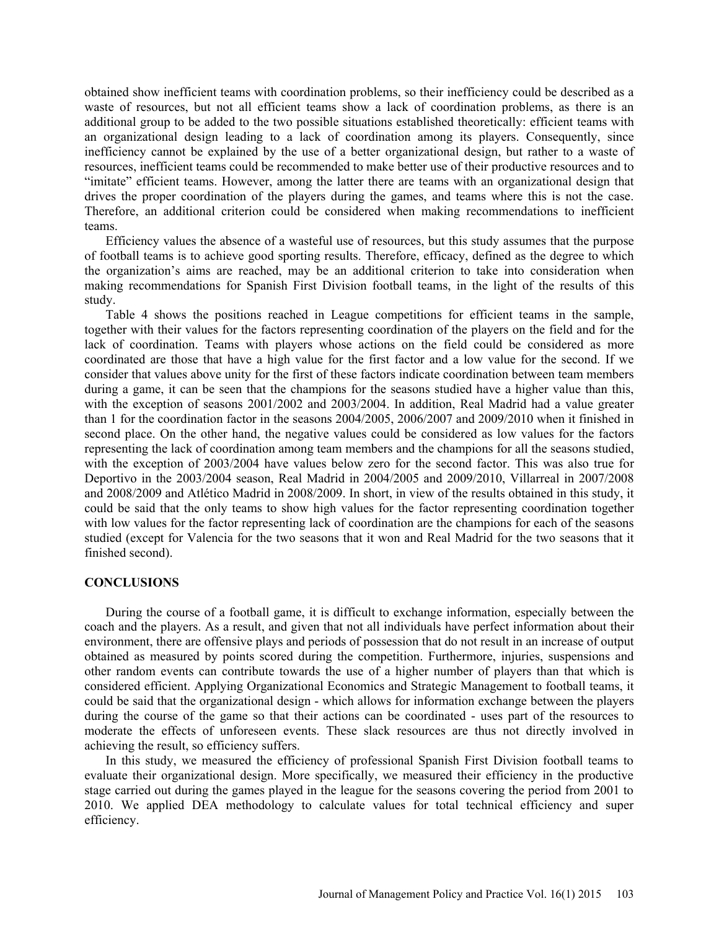obtained show inefficient teams with coordination problems, so their inefficiency could be described as a waste of resources, but not all efficient teams show a lack of coordination problems, as there is an additional group to be added to the two possible situations established theoretically: efficient teams with an organizational design leading to a lack of coordination among its players. Consequently, since inefficiency cannot be explained by the use of a better organizational design, but rather to a waste of resources, inefficient teams could be recommended to make better use of their productive resources and to "imitate" efficient teams. However, among the latter there are teams with an organizational design that drives the proper coordination of the players during the games, and teams where this is not the case. Therefore, an additional criterion could be considered when making recommendations to inefficient teams.

Efficiency values the absence of a wasteful use of resources, but this study assumes that the purpose of football teams is to achieve good sporting results. Therefore, efficacy, defined as the degree to which the organization's aims are reached, may be an additional criterion to take into consideration when making recommendations for Spanish First Division football teams, in the light of the results of this study.

Table 4 shows the positions reached in League competitions for efficient teams in the sample, together with their values for the factors representing coordination of the players on the field and for the lack of coordination. Teams with players whose actions on the field could be considered as more coordinated are those that have a high value for the first factor and a low value for the second. If we consider that values above unity for the first of these factors indicate coordination between team members during a game, it can be seen that the champions for the seasons studied have a higher value than this, with the exception of seasons 2001/2002 and 2003/2004. In addition, Real Madrid had a value greater than 1 for the coordination factor in the seasons 2004/2005, 2006/2007 and 2009/2010 when it finished in second place. On the other hand, the negative values could be considered as low values for the factors representing the lack of coordination among team members and the champions for all the seasons studied, with the exception of 2003/2004 have values below zero for the second factor. This was also true for Deportivo in the 2003/2004 season, Real Madrid in 2004/2005 and 2009/2010, Villarreal in 2007/2008 and 2008/2009 and Atlético Madrid in 2008/2009. In short, in view of the results obtained in this study, it could be said that the only teams to show high values for the factor representing coordination together with low values for the factor representing lack of coordination are the champions for each of the seasons studied (except for Valencia for the two seasons that it won and Real Madrid for the two seasons that it finished second).

### **CONCLUSIONS**

During the course of a football game, it is difficult to exchange information, especially between the coach and the players. As a result, and given that not all individuals have perfect information about their environment, there are offensive plays and periods of possession that do not result in an increase of output obtained as measured by points scored during the competition. Furthermore, injuries, suspensions and other random events can contribute towards the use of a higher number of players than that which is considered efficient. Applying Organizational Economics and Strategic Management to football teams, it could be said that the organizational design - which allows for information exchange between the players during the course of the game so that their actions can be coordinated - uses part of the resources to moderate the effects of unforeseen events. These slack resources are thus not directly involved in achieving the result, so efficiency suffers.

In this study, we measured the efficiency of professional Spanish First Division football teams to evaluate their organizational design. More specifically, we measured their efficiency in the productive stage carried out during the games played in the league for the seasons covering the period from 2001 to 2010. We applied DEA methodology to calculate values for total technical efficiency and super efficiency.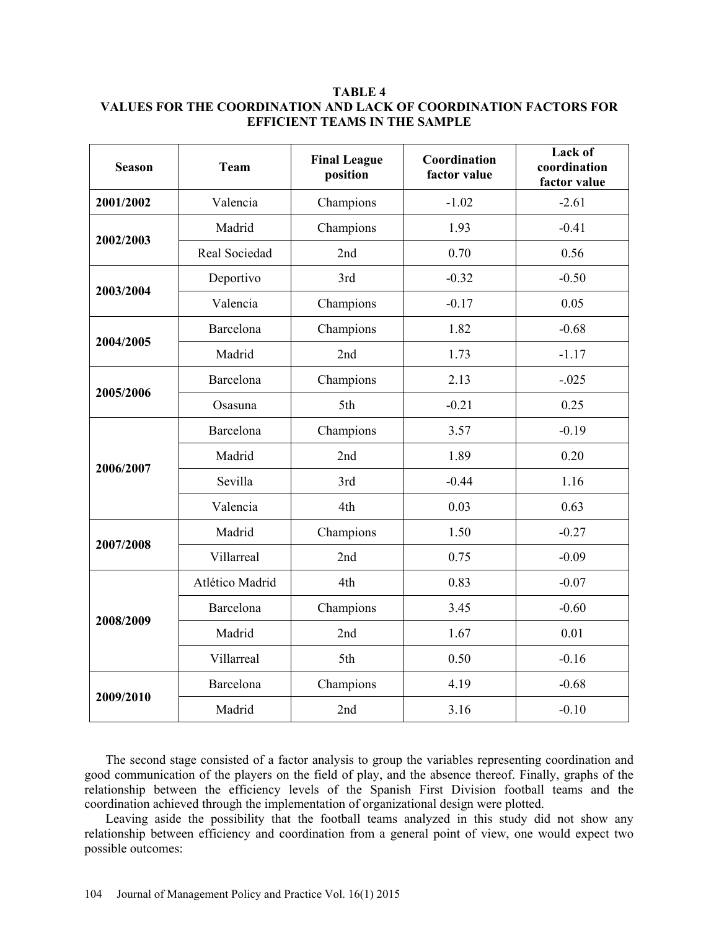## **TABLE 4 VALUES FOR THE COORDINATION AND LACK OF COORDINATION FACTORS FOR EFFICIENT TEAMS IN THE SAMPLE**

| <b>Season</b> | <b>Team</b>     | <b>Final League</b><br>position | Coordination<br>factor value | Lack of<br>coordination<br>factor value |
|---------------|-----------------|---------------------------------|------------------------------|-----------------------------------------|
| 2001/2002     | Valencia        | Champions                       | $-1.02$                      | $-2.61$                                 |
| 2002/2003     | Madrid          | Champions                       | 1.93                         | $-0.41$                                 |
|               | Real Sociedad   | 2nd                             | 0.70                         | 0.56                                    |
| 2003/2004     | Deportivo       | 3rd                             | $-0.32$                      | $-0.50$                                 |
|               | Valencia        | Champions                       | $-0.17$                      | 0.05                                    |
| 2004/2005     | Barcelona       | Champions                       | 1.82                         | $-0.68$                                 |
|               | Madrid          | 2nd                             | 1.73                         | $-1.17$                                 |
| 2005/2006     | Barcelona       | Champions                       | 2.13                         | $-.025$                                 |
|               | Osasuna         | 5th                             | $-0.21$                      | 0.25                                    |
| 2006/2007     | Barcelona       | Champions                       | 3.57                         | $-0.19$                                 |
|               | Madrid          | 2nd                             | 1.89                         | 0.20                                    |
|               | Sevilla         | 3rd                             | $-0.44$                      | 1.16                                    |
|               | Valencia        | 4th                             | 0.03                         | 0.63                                    |
| 2007/2008     | Madrid          | Champions                       | 1.50                         | $-0.27$                                 |
|               | Villarreal      | 2nd                             | 0.75                         | $-0.09$                                 |
| 2008/2009     | Atlético Madrid | 4th                             | 0.83                         | $-0.07$                                 |
|               | Barcelona       | Champions                       | 3.45                         | $-0.60$                                 |
|               | Madrid          | 2nd                             | 1.67                         | 0.01                                    |
|               | Villarreal      | 5th                             | 0.50                         | $-0.16$                                 |
| 2009/2010     | Barcelona       | Champions                       | 4.19                         | $-0.68$                                 |
|               | Madrid          | 2nd                             | 3.16                         | $-0.10$                                 |

The second stage consisted of a factor analysis to group the variables representing coordination and good communication of the players on the field of play, and the absence thereof. Finally, graphs of the relationship between the efficiency levels of the Spanish First Division football teams and the coordination achieved through the implementation of organizational design were plotted.

Leaving aside the possibility that the football teams analyzed in this study did not show any relationship between efficiency and coordination from a general point of view, one would expect two possible outcomes: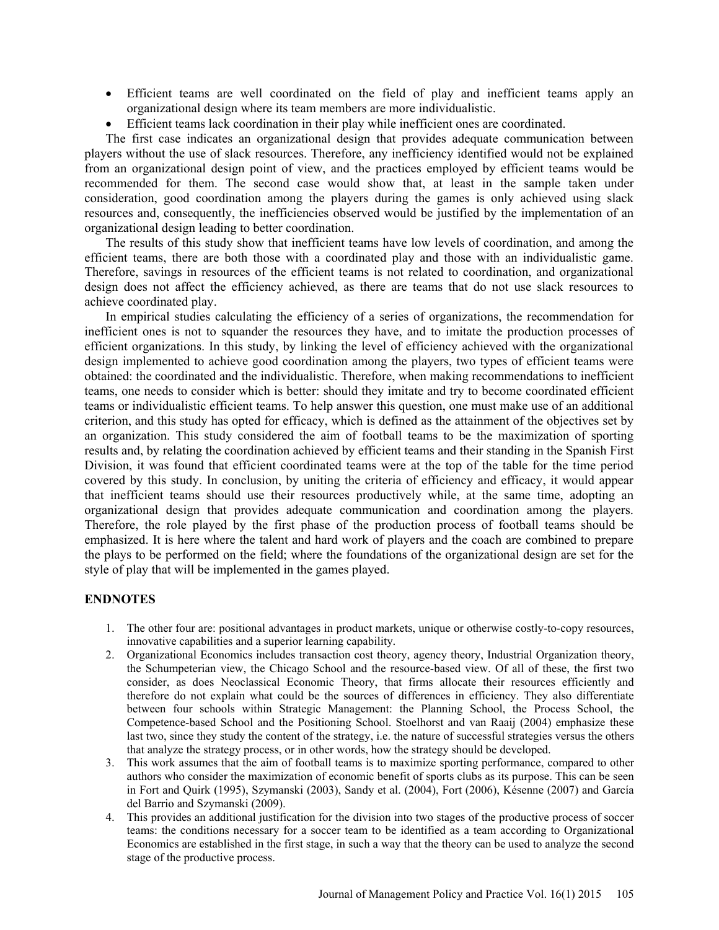- Efficient teams are well coordinated on the field of play and inefficient teams apply an organizational design where its team members are more individualistic.
- Efficient teams lack coordination in their play while inefficient ones are coordinated.

The first case indicates an organizational design that provides adequate communication between players without the use of slack resources. Therefore, any inefficiency identified would not be explained from an organizational design point of view, and the practices employed by efficient teams would be recommended for them. The second case would show that, at least in the sample taken under consideration, good coordination among the players during the games is only achieved using slack resources and, consequently, the inefficiencies observed would be justified by the implementation of an organizational design leading to better coordination.

The results of this study show that inefficient teams have low levels of coordination, and among the efficient teams, there are both those with a coordinated play and those with an individualistic game. Therefore, savings in resources of the efficient teams is not related to coordination, and organizational design does not affect the efficiency achieved, as there are teams that do not use slack resources to achieve coordinated play.

In empirical studies calculating the efficiency of a series of organizations, the recommendation for inefficient ones is not to squander the resources they have, and to imitate the production processes of efficient organizations. In this study, by linking the level of efficiency achieved with the organizational design implemented to achieve good coordination among the players, two types of efficient teams were obtained: the coordinated and the individualistic. Therefore, when making recommendations to inefficient teams, one needs to consider which is better: should they imitate and try to become coordinated efficient teams or individualistic efficient teams. To help answer this question, one must make use of an additional criterion, and this study has opted for efficacy, which is defined as the attainment of the objectives set by an organization. This study considered the aim of football teams to be the maximization of sporting results and, by relating the coordination achieved by efficient teams and their standing in the Spanish First Division, it was found that efficient coordinated teams were at the top of the table for the time period covered by this study. In conclusion, by uniting the criteria of efficiency and efficacy, it would appear that inefficient teams should use their resources productively while, at the same time, adopting an organizational design that provides adequate communication and coordination among the players. Therefore, the role played by the first phase of the production process of football teams should be emphasized. It is here where the talent and hard work of players and the coach are combined to prepare the plays to be performed on the field; where the foundations of the organizational design are set for the style of play that will be implemented in the games played.

### **ENDNOTES**

- 1. The other four are: positional advantages in product markets, unique or otherwise costly-to-copy resources, innovative capabilities and a superior learning capability.
- 2. Organizational Economics includes transaction cost theory, agency theory, Industrial Organization theory, the Schumpeterian view, the Chicago School and the resource-based view. Of all of these, the first two consider, as does Neoclassical Economic Theory, that firms allocate their resources efficiently and therefore do not explain what could be the sources of differences in efficiency. They also differentiate between four schools within Strategic Management: the Planning School, the Process School, the Competence-based School and the Positioning School. Stoelhorst and van Raaij (2004) emphasize these last two, since they study the content of the strategy, i.e. the nature of successful strategies versus the others that analyze the strategy process, or in other words, how the strategy should be developed.
- 3. This work assumes that the aim of football teams is to maximize sporting performance, compared to other authors who consider the maximization of economic benefit of sports clubs as its purpose. This can be seen in Fort and Quirk (1995), Szymanski (2003), Sandy et al. (2004), Fort (2006), Késenne (2007) and García del Barrio and Szymanski (2009).
- 4. This provides an additional justification for the division into two stages of the productive process of soccer teams: the conditions necessary for a soccer team to be identified as a team according to Organizational Economics are established in the first stage, in such a way that the theory can be used to analyze the second stage of the productive process.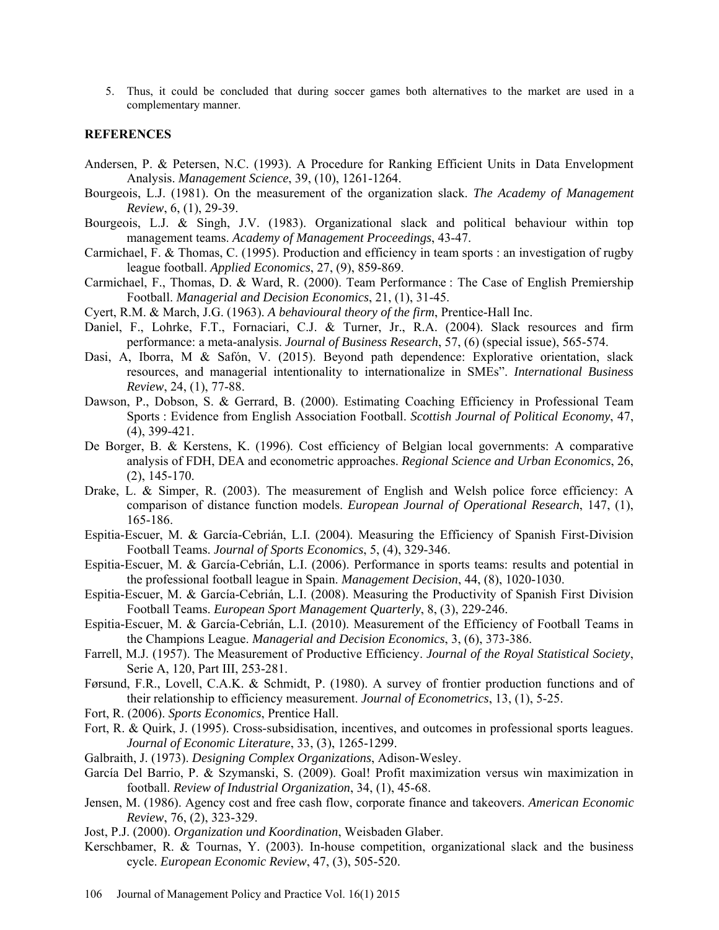5. Thus, it could be concluded that during soccer games both alternatives to the market are used in a complementary manner.

#### **REFERENCES**

- Andersen, P. & Petersen, N.C. (1993). A Procedure for Ranking Efficient Units in Data Envelopment Analysis. *Management Science*, 39, (10), 1261-1264.
- Bourgeois, L.J. (1981). On the measurement of the organization slack. *The Academy of Management Review*, 6, (1), 29-39.
- Bourgeois, L.J. & Singh, J.V. (1983). Organizational slack and political behaviour within top management teams. *Academy of Management Proceedings*, 43-47.
- Carmichael, F. & Thomas, C. (1995). Production and efficiency in team sports : an investigation of rugby league football. *Applied Economics*, 27, (9), 859-869.
- Carmichael, F., Thomas, D. & Ward, R. (2000). Team Performance : The Case of English Premiership Football. *Managerial and Decision Economics*, 21, (1), 31-45.
- Cyert, R.M. & March, J.G. (1963). *A behavioural theory of the firm*, Prentice-Hall Inc.
- Daniel, F., Lohrke, F.T., Fornaciari, C.J. & Turner, Jr., R.A. (2004). Slack resources and firm performance: a meta-analysis. *Journal of Business Research*, 57, (6) (special issue), 565-574.
- Dasi, A, Iborra, M & Safón, V. (2015). Beyond path dependence: Explorative orientation, slack resources, and managerial intentionality to internationalize in SMEs". *International Business Review*, 24, (1), 77-88.
- Dawson, P., Dobson, S. & Gerrard, B. (2000). Estimating Coaching Efficiency in Professional Team Sports : Evidence from English Association Football. *Scottish Journal of Political Economy*, 47, (4), 399-421.
- De Borger, B. & Kerstens, K. (1996). Cost efficiency of Belgian local governments: A comparative analysis of FDH, DEA and econometric approaches. *Regional Science and Urban Economics*, 26, (2), 145-170.
- Drake, L. & Simper, R. (2003). The measurement of English and Welsh police force efficiency: A comparison of distance function models. *European Journal of Operational Research*, 147, (1), 165-186.
- Espitia-Escuer, M. & García-Cebrián, L.I. (2004). Measuring the Efficiency of Spanish First-Division Football Teams. *Journal of Sports Economics*, 5, (4), 329-346.
- Espitia-Escuer, M. & García-Cebrián, L.I. (2006). Performance in sports teams: results and potential in the professional football league in Spain. *Management Decision*, 44, (8), 1020-1030.
- Espitia-Escuer, M. & García-Cebrián, L.I. (2008). Measuring the Productivity of Spanish First Division Football Teams. *European Sport Management Quarterly*, 8, (3), 229-246.
- Espitia-Escuer, M. & García-Cebrián, L.I. (2010). Measurement of the Efficiency of Football Teams in the Champions League. *Managerial and Decision Economics*, 3, (6), 373-386.
- Farrell, M.J. (1957). The Measurement of Productive Efficiency. *Journal of the Royal Statistical Society*, Serie A, 120, Part III, 253-281.
- Førsund, F.R., Lovell, C.A.K. & Schmidt, P. (1980). A survey of frontier production functions and of their relationship to efficiency measurement. *Journal of Econometrics*, 13, (1), 5-25.
- Fort, R. (2006). *Sports Economics*, Prentice Hall.
- Fort, R. & Quirk, J. (1995). Cross-subsidisation, incentives, and outcomes in professional sports leagues. *Journal of Economic Literature*, 33, (3), 1265-1299.
- Galbraith, J. (1973). *Designing Complex Organizations*, Adison-Wesley.
- García Del Barrio, P. & Szymanski, S. (2009). Goal! Profit maximization versus win maximization in football. *Review of Industrial Organization*, 34, (1), 45-68.
- Jensen, M. (1986). Agency cost and free cash flow, corporate finance and takeovers. *American Economic Review*, 76, (2), 323-329.
- Jost, P.J. (2000). *Organization und Koordination*, Weisbaden Glaber.
- Kerschbamer, R. & Tournas, Y. (2003). In-house competition, organizational slack and the business cycle. *European Economic Review*, 47, (3), 505-520.
- 106 Journal of Management Policy and Practice Vol. 16(1) 2015